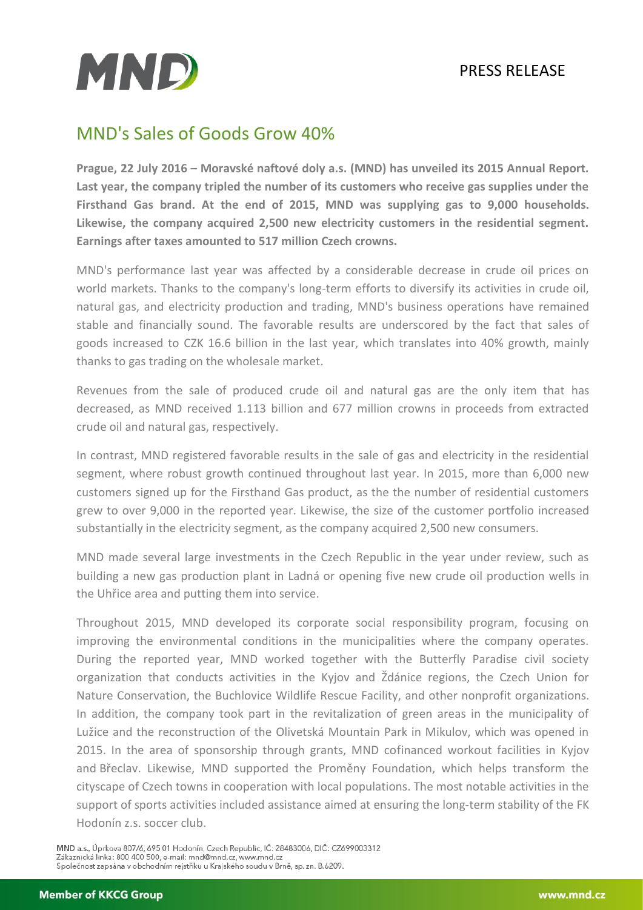## PRESS RELEASE



## MND's Sales of Goods Grow 40%

**Prague, 22 July 2016 – Moravské naftové doly a.s. (MND) has unveiled its 2015 Annual Report. Last year, the company tripled the number of its customers who receive gas supplies under the Firsthand Gas brand. At the end of 2015, MND was supplying gas to 9,000 households. Likewise, the company acquired 2,500 new electricity customers in the residential segment. Earnings after taxes amounted to 517 million Czech crowns.** 

MND's performance last year was affected by a considerable decrease in crude oil prices on world markets. Thanks to the company's long-term efforts to diversify its activities in crude oil, natural gas, and electricity production and trading, MND's business operations have remained stable and financially sound. The favorable results are underscored by the fact that sales of goods increased to CZK 16.6 billion in the last year, which translates into 40% growth, mainly thanks to gas trading on the wholesale market.

Revenues from the sale of produced crude oil and natural gas are the only item that has decreased, as MND received 1.113 billion and 677 million crowns in proceeds from extracted crude oil and natural gas, respectively.

In contrast, MND registered favorable results in the sale of gas and electricity in the residential segment, where robust growth continued throughout last year. In 2015, more than 6,000 new customers signed up for the Firsthand Gas product, as the the number of residential customers grew to over 9,000 in the reported year. Likewise, the size of the customer portfolio increased substantially in the electricity segment, as the company acquired 2,500 new consumers.

MND made several large investments in the Czech Republic in the year under review, such as building a new gas production plant in Ladná or opening five new crude oil production wells in the Uhřice area and putting them into service.

Throughout 2015, MND developed its corporate social responsibility program, focusing on improving the environmental conditions in the municipalities where the company operates. During the reported year, MND worked together with the Butterfly Paradise civil society organization that conducts activities in the Kyjov and Ždánice regions, the Czech Union for Nature Conservation, the Buchlovice Wildlife Rescue Facility, and other nonprofit organizations. In addition, the company took part in the revitalization of green areas in the municipality of Lužice and the reconstruction of the Olivetská Mountain Park in Mikulov, which was opened in 2015. In the area of sponsorship through grants, MND cofinanced workout facilities in Kyjov and Břeclav. Likewise, MND supported the Proměny Foundation, which helps transform the cityscape of Czech towns in cooperation with local populations. The most notable activities in the support of sports activities included assistance aimed at ensuring the long-term stability of the FK Hodonín z.s. soccer club.

MND a.s., Úprkova 807/6, 695 01 Hodonín, Czech Republic, IČ: 28483006, DIČ: CZ699003312 Zákaznická linka: 800 400 500, e-mail: mnd@mnd.cz, www.mnd.cz Společnost zapsána v obchodním rejstříku u Krajského soudu v Brně, sp. zn. B.6209.